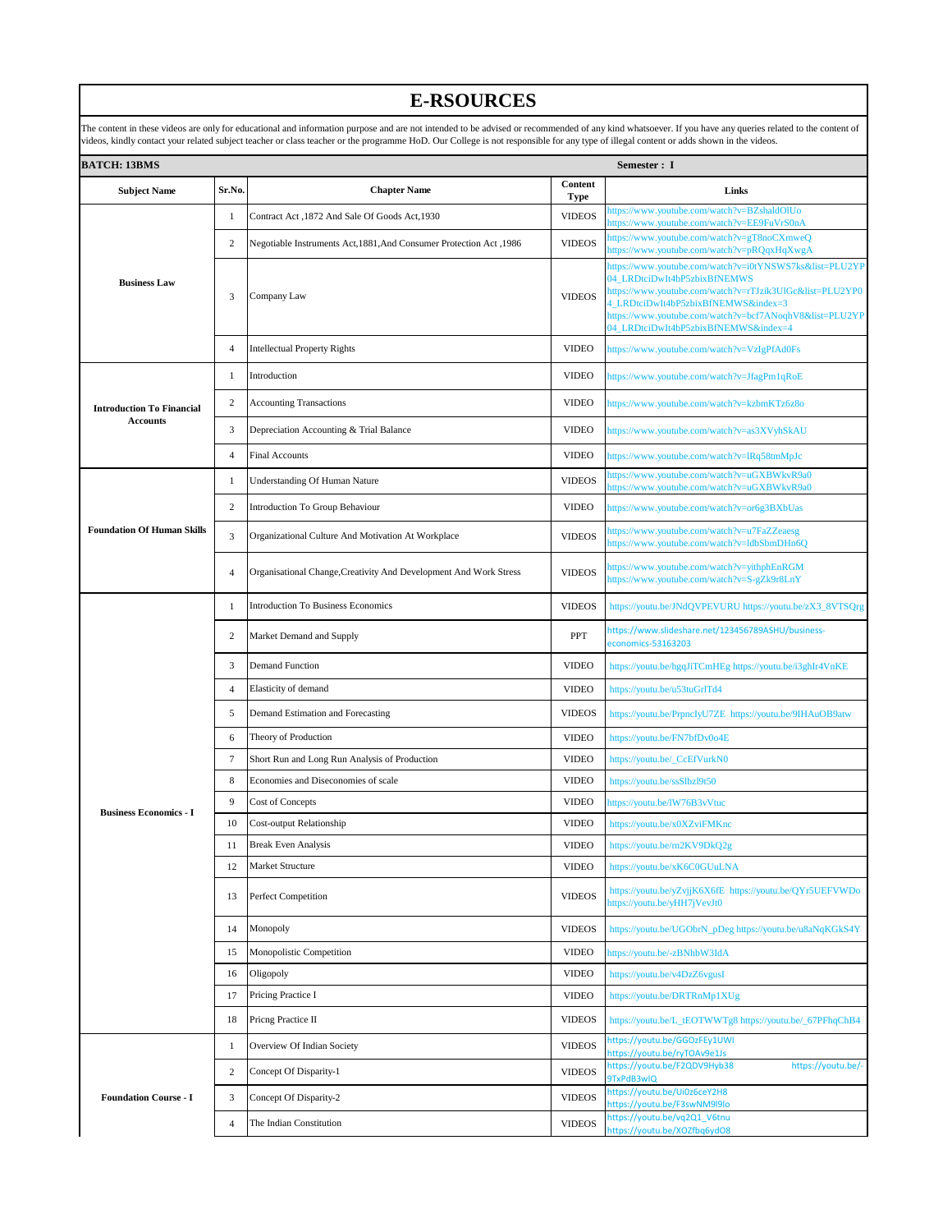## **E-RSOURCES**

| <b>BATCH: 13BMS</b><br>Semester: I |                         |                                                                     |                 |                                                                                                                                                                                                                                                                                               |  |
|------------------------------------|-------------------------|---------------------------------------------------------------------|-----------------|-----------------------------------------------------------------------------------------------------------------------------------------------------------------------------------------------------------------------------------------------------------------------------------------------|--|
| <b>Subject Name</b>                | Sr.No.                  | <b>Chapter Name</b>                                                 | Content<br>Type | Links                                                                                                                                                                                                                                                                                         |  |
| <b>Business Law</b>                | 1                       | Contract Act, 1872 And Sale Of Goods Act, 1930                      | <b>VIDEOS</b>   | https://www.youtube.com/watch?v=BZshaldOlUo<br>ttps://www.youtube.com/watch?v=EE9FuVrS0nA                                                                                                                                                                                                     |  |
|                                    | $\mathbf{2}$            | 1986, Negotiable Instruments Act, 1881, And Consumer Protection Act | <b>VIDEOS</b>   | https://www.youtube.com/watch?v=gT8noCXmweQ<br>nttps://www.youtube.com/watch?v=pRQqxHqXwgA                                                                                                                                                                                                    |  |
|                                    | 3                       | Company Law                                                         | <b>VIDEOS</b>   | https://www.youtube.com/watch?v=i0tYNSWS7ks&list=PLU2YP<br>04_LRDtciDwIt4bP5zbixBfNEMWS<br>https://www.youtube.com/watch?v=rTJzik3UlGc&list=PLU2YP0<br>4_LRDtciDwIt4bP5zbixBfNEMWS&index=3<br>https://www.youtube.com/watch?v=bcf7ANoqhV8&list=PLU2YP<br>04_LRDtciDwIt4bP5zbixBfNEMWS&index=4 |  |
|                                    | 4                       | <b>Intellectual Property Rights</b>                                 | <b>VIDEO</b>    | https://www.youtube.com/watch?v=VzIgPfAd0Fs                                                                                                                                                                                                                                                   |  |
|                                    | 1                       | Introduction                                                        | <b>VIDEO</b>    | nttps://www.youtube.com/watch?v=JfagPm1qRoE                                                                                                                                                                                                                                                   |  |
| <b>Introduction To Financial</b>   | $\sqrt{2}$              | <b>Accounting Transactions</b>                                      | <b>VIDEO</b>    | nttps://www.youtube.com/watch?v=kzbmKTz6z8o                                                                                                                                                                                                                                                   |  |
| <b>Accounts</b>                    | 3                       | Depreciation Accounting & Trial Balance                             | <b>VIDEO</b>    | nttps://www.youtube.com/watch?v=as3XVyhSkAU                                                                                                                                                                                                                                                   |  |
|                                    | $\overline{4}$          | <b>Final Accounts</b>                                               | <b>VIDEO</b>    | nttps://www.youtube.com/watch?v=lRq58tmMpJc                                                                                                                                                                                                                                                   |  |
|                                    | -1                      | Understanding Of Human Nature                                       | <b>VIDEOS</b>   | attps://www.youtube.com/watch?v=uGXBWkvR9a0<br>attps://www.youtube.com/watch?v=uGXBWkvR9a0                                                                                                                                                                                                    |  |
|                                    | 2                       | Introduction To Group Behaviour                                     | <b>VIDEO</b>    | nttps://www.youtube.com/watch?v=or6g3BXbUas                                                                                                                                                                                                                                                   |  |
| <b>Foundation Of Human Skills</b>  | $\mathfrak{Z}$          | Organizational Culture And Motivation At Workplace                  | <b>VIDEOS</b>   | attps://www.youtube.com/watch?v=u7FaZZeaesg<br>https://www.youtube.com/watch?v=ldbSbmDHn6Q                                                                                                                                                                                                    |  |
|                                    | 4                       | Organisational Change, Creativity And Development And Work Stress   | <b>VIDEOS</b>   | nttps://www.youtube.com/watch?v=yithphEnRGM<br>https://www.youtube.com/watch?v=S-gZk9r8LnY                                                                                                                                                                                                    |  |
|                                    | 1                       | <b>Introduction To Business Economics</b>                           | <b>VIDEOS</b>   | https://youtu.be/JNdQVPEVURU https://youtu.be/zX3_8VTSQrg                                                                                                                                                                                                                                     |  |
|                                    | 2                       | Market Demand and Supply                                            | <b>PPT</b>      | https://www.slideshare.net/123456789ASHU/business-<br>economics-53163203                                                                                                                                                                                                                      |  |
|                                    | 3                       | <b>Demand Function</b>                                              | <b>VIDEO</b>    | https://youtu.be/hgqJiTCmHEg https://youtu.be/i3ghIr4VnKE                                                                                                                                                                                                                                     |  |
|                                    | 4                       | Elasticity of demand                                                | <b>VIDEO</b>    | https://youtu.be/u53tuGrlTd4                                                                                                                                                                                                                                                                  |  |
|                                    | 5                       | Demand Estimation and Forecasting                                   | <b>VIDEOS</b>   | https://youtu.be/PrpncIyU7ZE https://youtu.be/9IHAuOB9atw                                                                                                                                                                                                                                     |  |
|                                    | 6                       | Theory of Production                                                | <b>VIDEO</b>    | https://youtu.be/FN7bfDv0o4E                                                                                                                                                                                                                                                                  |  |
|                                    | 7                       | Short Run and Long Run Analysis of Production                       | <b>VIDEO</b>    | https://youtu.be/_CcEfVurkN0                                                                                                                                                                                                                                                                  |  |
|                                    | 8                       | Economies and Diseconomies of scale                                 | <b>VIDEO</b>    | https://youtu.be/ssSlbzl9t50                                                                                                                                                                                                                                                                  |  |
| <b>Business Economics - I</b>      | 9                       | <b>Cost of Concepts</b>                                             | <b>VIDEO</b>    | nttps://youtu.be/IW76B3vVtuc                                                                                                                                                                                                                                                                  |  |
|                                    | 10                      | <b>Cost-output Relationship</b>                                     | <b>VIDEO</b>    | https://youtu.be/x0XZviFMKnc                                                                                                                                                                                                                                                                  |  |
|                                    | 11                      | <b>Break Even Analysis</b>                                          | <b>VIDEO</b>    | https://youtu.be/rn2KV9DkQ2g                                                                                                                                                                                                                                                                  |  |
|                                    | 12                      | Market Structure                                                    | <b>VIDEO</b>    | https://youtu.be/xK6C0GUuLNA                                                                                                                                                                                                                                                                  |  |
|                                    | 13                      | Perfect Competition                                                 | <b>VIDEOS</b>   | https://youtu.be/yZvjjK6X6fE https://youtu.be/QYr5UEFVWDo<br>https://youtu.be/yHH7jVevJt0                                                                                                                                                                                                     |  |
|                                    | 14                      | Monopoly                                                            | <b>VIDEOS</b>   | https://youtu.be/UGObrN_pDeg https://youtu.be/u8aNqKGkS4Y                                                                                                                                                                                                                                     |  |
|                                    | 15                      | Monopolistic Competition                                            | <b>VIDEO</b>    | nttps://youtu.be/-zBNhbW3IdA                                                                                                                                                                                                                                                                  |  |
|                                    | 16                      | Oligopoly                                                           | <b>VIDEO</b>    | https://youtu.be/v4DzZ6vgusI                                                                                                                                                                                                                                                                  |  |
|                                    | 17                      | Pricing Practice I                                                  | <b>VIDEO</b>    | https://youtu.be/DRTRnMp1XUg                                                                                                                                                                                                                                                                  |  |
|                                    | 18                      | Pricng Practice II                                                  | <b>VIDEOS</b>   | https://youtu.be/L_tEOTWWTg8 https://youtu.be/_67PFhqChB4                                                                                                                                                                                                                                     |  |
|                                    | 1                       | Overview Of Indian Society                                          | <b>VIDEOS</b>   | nttps://youtu.be/GGOzFEy1UWI<br>https://youtu.be/ryTOAv9e1Js                                                                                                                                                                                                                                  |  |
|                                    | $\overline{\mathbf{c}}$ | Concept Of Disparity-1                                              | <b>VIDEOS</b>   | https://youtu.be/F2QDV9Hyb38<br>https://youtu.be/-<br>9TxPdB3wIQ                                                                                                                                                                                                                              |  |
| <b>Foundation Course - I</b>       | 3                       | Concept Of Disparity-2                                              | <b>VIDEOS</b>   | nttps://youtu.be/Ui0z6ceY2H8<br>nttps://youtu.be/F3swNM9l9lo                                                                                                                                                                                                                                  |  |
|                                    | $\overline{4}$          | The Indian Constitution                                             | <b>VIDEOS</b>   | https://youtu.be/vq2Q1_V6tnu<br>https://youtu.be/XOZfbq6ydO8                                                                                                                                                                                                                                  |  |

The content in these videos are only for educational and information purpose and are not intended to be advised or recommended of any kind whatsoever. If you have any queries related to the content of<br>videos, kindly contac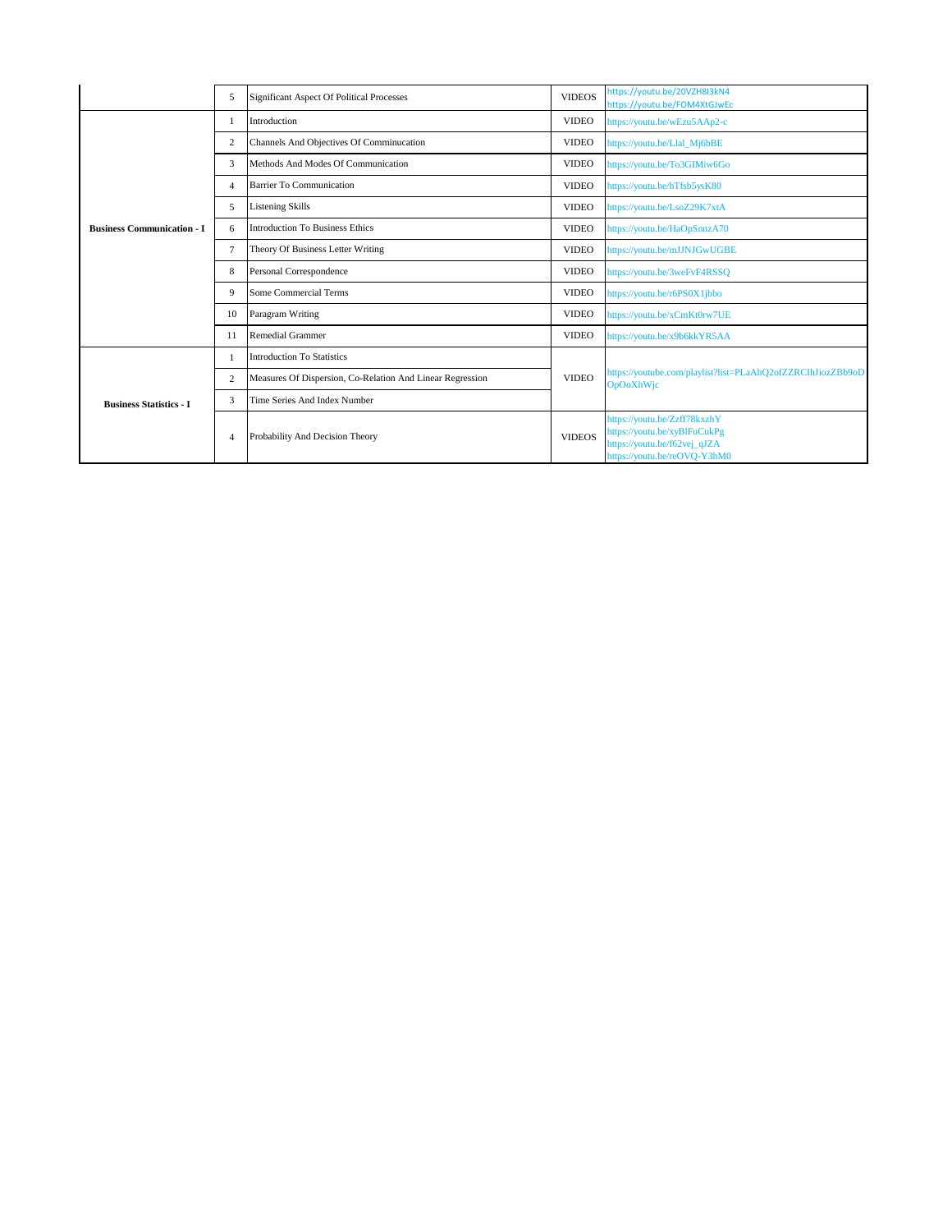|                                   | 5              | <b>Significant Aspect Of Political Processes</b>          | <b>VIDEOS</b> | https://youtu.be/20VZH8I3kN4<br>https://youtu.be/FOM4XtGJwEc                                                                 |
|-----------------------------------|----------------|-----------------------------------------------------------|---------------|------------------------------------------------------------------------------------------------------------------------------|
|                                   |                | Introduction                                              | <b>VIDEO</b>  | https://youtu.be/wEzu5AAp2-c                                                                                                 |
|                                   | 2              | Channels And Objectives Of Comminucation                  | <b>VIDEO</b>  | https://youtu.be/Llal Mj6bBE                                                                                                 |
|                                   | 3              | Methods And Modes Of Communication                        | <b>VIDEO</b>  | https://youtu.be/To3GIMiw6Go                                                                                                 |
|                                   | $\overline{4}$ | <b>Barrier To Communication</b>                           | <b>VIDEO</b>  | https://youtu.be/hTfsb5ysK80                                                                                                 |
|                                   | 5              | <b>Listening Skills</b>                                   | <b>VIDEO</b>  | https://youtu.be/LsoZ29K7xtA                                                                                                 |
| <b>Business Communication - I</b> | 6              | <b>Introduction To Business Ethics</b>                    | <b>VIDEO</b>  | https://youtu.be/HaOpSnnzA70                                                                                                 |
|                                   | $\overline{7}$ | Theory Of Business Letter Writing                         | <b>VIDEO</b>  | https://youtu.be/mJJNJGwUGBE                                                                                                 |
|                                   | 8              | Personal Correspondence                                   | <b>VIDEO</b>  | https://youtu.be/3weFvF4RSSQ                                                                                                 |
|                                   | 9              | <b>Some Commercial Terms</b>                              | <b>VIDEO</b>  | https://youtu.be/r6PS0X1jbbo                                                                                                 |
|                                   | 10             | Paragram Writing                                          | <b>VIDEO</b>  | https://youtu.be/xCmKt0rw7UE                                                                                                 |
|                                   | 11             | <b>Remedial Grammer</b>                                   | <b>VIDEO</b>  | https://youtu.be/x9b6kkYR5AA                                                                                                 |
|                                   |                | <b>Introduction To Statistics</b>                         | <b>VIDEO</b>  | https://youtube.com/playlist?list=PLaAhQ2ofZZRCIhJiozZBb9oD<br><b>OpOoXhWjc</b>                                              |
| <b>Business Statistics - I</b>    | 2              | Measures Of Dispersion, Co-Relation And Linear Regression |               |                                                                                                                              |
|                                   | 3              | Time Series And Index Number                              |               |                                                                                                                              |
|                                   | $\overline{4}$ | Probability And Decision Theory                           | <b>VIDEOS</b> | https://youtu.be/Zzff78kxzhY<br>https://youtu.be/xyBlFuCukPg<br>https://youtu.be/f62vej_qJZA<br>https://youtu.be/reOVQ-Y3hM0 |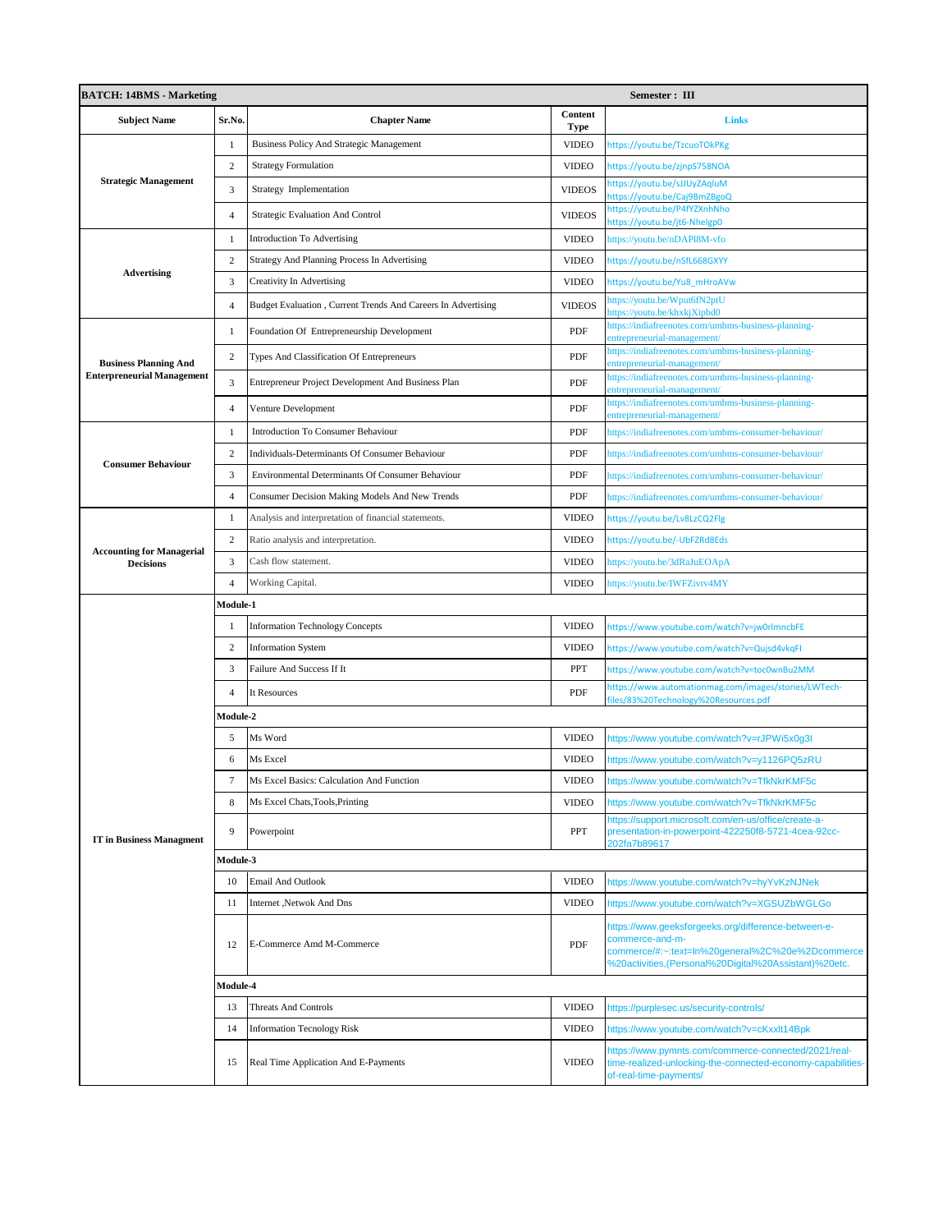| <b>BATCH: 14BMS - Marketing</b>                      |                |                                                              | Semester: III   |                                                                                                                                                                                     |  |  |
|------------------------------------------------------|----------------|--------------------------------------------------------------|-----------------|-------------------------------------------------------------------------------------------------------------------------------------------------------------------------------------|--|--|
| <b>Subject Name</b>                                  | Sr.No.         | <b>Chapter Name</b>                                          | Content<br>Type | <b>Links</b>                                                                                                                                                                        |  |  |
|                                                      | $\mathbf{1}$   | <b>Business Policy And Strategic Management</b>              | <b>VIDEO</b>    | https://youtu.be/TzcuoTOkPKg                                                                                                                                                        |  |  |
|                                                      | $\overline{c}$ | <b>Strategy Formulation</b>                                  | <b>VIDEO</b>    | https://youtu.be/zjnpS758NOA                                                                                                                                                        |  |  |
| <b>Strategic Management</b>                          | 3              | Strategy Implementation                                      | <b>VIDEOS</b>   | https://youtu.be/sJJUyZAqluM<br>ttps://youtu.be/Caj9BmZBgoQ                                                                                                                         |  |  |
|                                                      | $\overline{4}$ | Strategic Evaluation And Control                             | <b>VIDEOS</b>   | https://youtu.be/P4fYZXnhNho<br>nttps://youtu.be/jt6-Nhelgp0                                                                                                                        |  |  |
|                                                      | $\mathbf{1}$   | <b>Introduction To Advertising</b>                           | <b>VIDEO</b>    | https://youtu.be/nDAPl8M-vfo                                                                                                                                                        |  |  |
|                                                      | $\overline{2}$ | Strategy And Planning Process In Advertising                 | <b>VIDEO</b>    | https://youtu.be/nSfL668GXYY                                                                                                                                                        |  |  |
| <b>Advertising</b>                                   | 3              | <b>Creativity In Advertising</b>                             | <b>VIDEO</b>    | https://youtu.be/Yu8 mHroAVw                                                                                                                                                        |  |  |
|                                                      | $\overline{4}$ | Budget Evaluation, Current Trends And Careers In Advertising | <b>VIDEOS</b>   | ttps://youtu.be/Wput6fN2ptU<br>ttps://youtu.be/khxkjXipbd0                                                                                                                          |  |  |
|                                                      | -1             | Foundation Of Entrepreneurship Development                   | PDF             | ttps://indiafreenotes.com/umbms-business-planning-<br>ntrepreneurial-management/                                                                                                    |  |  |
| <b>Business Planning And</b>                         | $\overline{2}$ | Types And Classification Of Entrepreneurs                    | PDF             | https://indiafreenotes.com/umbms-business-planning-<br>ntrepreneurial-management/                                                                                                   |  |  |
| <b>Enterpreneurial Management</b>                    | 3              | Entrepreneur Project Development And Business Plan           | PDF             | nttps://indiafreenotes.com/umbms-business-planning-<br>entrepreneurial-management/                                                                                                  |  |  |
|                                                      | $\overline{4}$ | Venture Development                                          | PDF             | nttps://indiafreenotes.com/umbms-business-planning-<br>ntrepreneurial-management/                                                                                                   |  |  |
|                                                      | $\mathbf{1}$   | Introduction To Consumer Behaviour                           | PDF             | https://indiafreenotes.com/umbms-consumer-behaviour/                                                                                                                                |  |  |
|                                                      | $\overline{2}$ | Individuals-Determinants Of Consumer Behaviour               | PDF             | https://indiafreenotes.com/umbms-consumer-behaviour/                                                                                                                                |  |  |
| <b>Consumer Behaviour</b>                            | 3              | Environmental Determinants Of Consumer Behaviour             | PDF             | https://indiafreenotes.com/umbms-consumer-behaviour/                                                                                                                                |  |  |
|                                                      | $\overline{4}$ | Consumer Decision Making Models And New Trends               | PDF             | https://indiafreenotes.com/umbms-consumer-behaviour/                                                                                                                                |  |  |
|                                                      | $\mathbf{1}$   | Analysis and interpretation of financial statements.         | <b>VIDEO</b>    | https://youtu.be/Lv8LzCQ2Flg                                                                                                                                                        |  |  |
|                                                      | $\overline{2}$ | Ratio analysis and interpretation.                           | <b>VIDEO</b>    | https://youtu.be/-UbFZRd8Eds                                                                                                                                                        |  |  |
| <b>Accounting for Managerial</b><br><b>Decisions</b> | 3              | Cash flow statement.                                         | <b>VIDEO</b>    | https://youtu.be/3dRaJuEOApA                                                                                                                                                        |  |  |
|                                                      | $\overline{4}$ | Working Capital.                                             | <b>VIDEO</b>    | https://youtu.be/IWFZivrv4MY                                                                                                                                                        |  |  |
|                                                      | Module-1       |                                                              |                 |                                                                                                                                                                                     |  |  |
|                                                      | $\mathbf{1}$   | <b>Information Technology Concepts</b>                       | <b>VIDEO</b>    | https://www.youtube.com/watch?v=jw0rlmncbFE                                                                                                                                         |  |  |
|                                                      | $\overline{2}$ | <b>Information System</b>                                    | <b>VIDEO</b>    | https://www.youtube.com/watch?v=Qujsd4vkqFI                                                                                                                                         |  |  |
|                                                      | 3              | Failure And Success If It                                    | PPT             | https://www.youtube.com/watch?v=toc0wnBu2MM                                                                                                                                         |  |  |
|                                                      | $\overline{4}$ | It Resources                                                 | PDF             | https://www.automationmag.com/images/stories/LWTech-<br>iles/83%20Technology%20Resources.pdf                                                                                        |  |  |
|                                                      | Module-2       |                                                              |                 |                                                                                                                                                                                     |  |  |
|                                                      | 5              | Ms Word                                                      | <b>VIDEO</b>    | https://www.youtube.com/watch?v=rJPWi5x0g3I                                                                                                                                         |  |  |
|                                                      | 6              | Ms Excel                                                     | <b>VIDEO</b>    | https://www.youtube.com/watch?v=y1126PQ5zRU                                                                                                                                         |  |  |
|                                                      | $\tau$         | Ms Excel Basics: Calculation And Function                    | VIDEO           | https://www.youtube.com/watch?v=TfkNkrKMF5c                                                                                                                                         |  |  |
|                                                      | 8              | Ms Excel Chats, Tools, Printing                              | <b>VIDEO</b>    | https://www.youtube.com/watch?v=TfkNkrKMF5c<br>https://support.microsoft.com/en-us/office/create-a-                                                                                 |  |  |
| <b>IT</b> in Business Managment                      | 9              | Powerpoint                                                   | PPT             | presentation-in-powerpoint-422250f8-5721-4cea-92cc-<br>202fa7b89617                                                                                                                 |  |  |
|                                                      | Module-3       |                                                              |                 |                                                                                                                                                                                     |  |  |
|                                                      | 10             | <b>Email And Outlook</b>                                     | <b>VIDEO</b>    | https://www.youtube.com/watch?v=hyYvKzNJNek                                                                                                                                         |  |  |
|                                                      | 11             | Internet , Netwok And Dns                                    | <b>VIDEO</b>    | https://www.youtube.com/watch?v=XGSUZbWGLGo                                                                                                                                         |  |  |
|                                                      | 12             | E-Commerce Amd M-Commerce                                    | PDF             | https://www.geeksforgeeks.org/difference-between-e-<br>commerce-and-m-<br>commerce/#:~:text=ln%20general%2C%20e%2Dcommerce<br>%20activities,(Personal%20Digital%20Assistant)%20etc. |  |  |
|                                                      | Module-4       |                                                              |                 |                                                                                                                                                                                     |  |  |
|                                                      | 13             | <b>Threats And Controls</b>                                  | <b>VIDEO</b>    | https://purplesec.us/security-controls/                                                                                                                                             |  |  |
|                                                      | 14             | <b>Information Tecnology Risk</b>                            | <b>VIDEO</b>    | https://www.youtube.com/watch?v=cKxxlt14Bpk                                                                                                                                         |  |  |
|                                                      | 15             | Real Time Application And E-Payments                         | <b>VIDEO</b>    | https://www.pymnts.com/commerce-connected/2021/real-<br>ime-realized-unlocking-the-connected-economy-capabilities-<br>of-real-time-payments/                                        |  |  |
|                                                      |                |                                                              |                 |                                                                                                                                                                                     |  |  |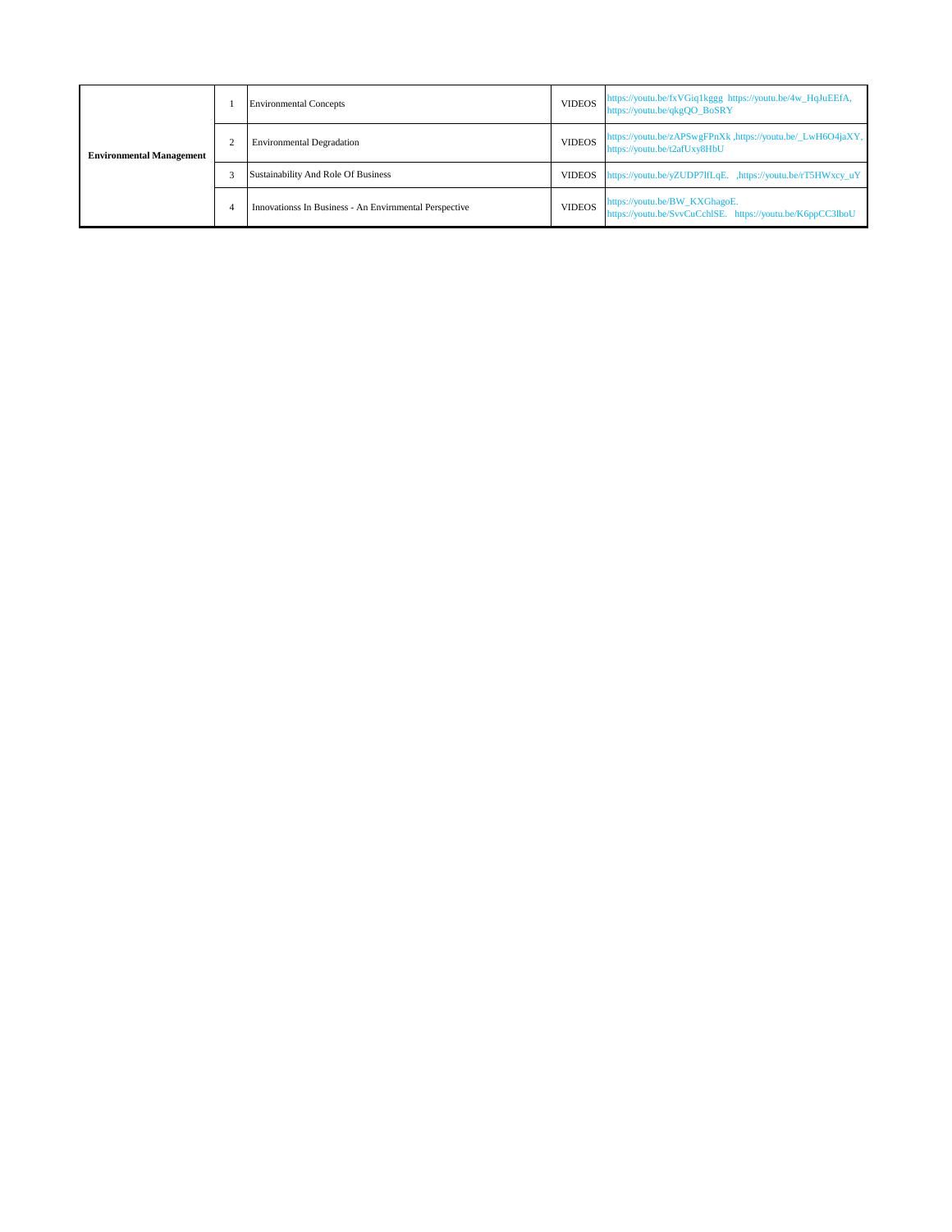| <b>Environmental Management</b> |   | <b>Environmental Concepts</b>                          | <b>VIDEOS</b> | https://youtu.be/fxVGiq1kggg https://youtu.be/4w_HqJuEEfA,<br>https://youtu.be/qkgQO_BoSRY  |
|---------------------------------|---|--------------------------------------------------------|---------------|---------------------------------------------------------------------------------------------|
|                                 |   | <b>Environmental Degradation</b>                       | <b>VIDEOS</b> | https://youtu.be/zAPSwgFPnXk ,https://youtu.be/_LwH6O4jaXY,<br>https://youtu.be/t2afUxy8HbU |
|                                 |   | Sustainability And Role Of Business                    | <b>VIDEOS</b> | https://youtu.be/yZUDP7lfLqE. ,https://youtu.be/rT5HWxcy_uY                                 |
|                                 | 4 | Innovationss In Business - An Envirnmental Perspective | <b>VIDEOS</b> | https://youtu.be/BW_KXGhagoE.<br>https://youtu.be/SvvCuCchISE. https://youtu.be/K6ppCC3lboU |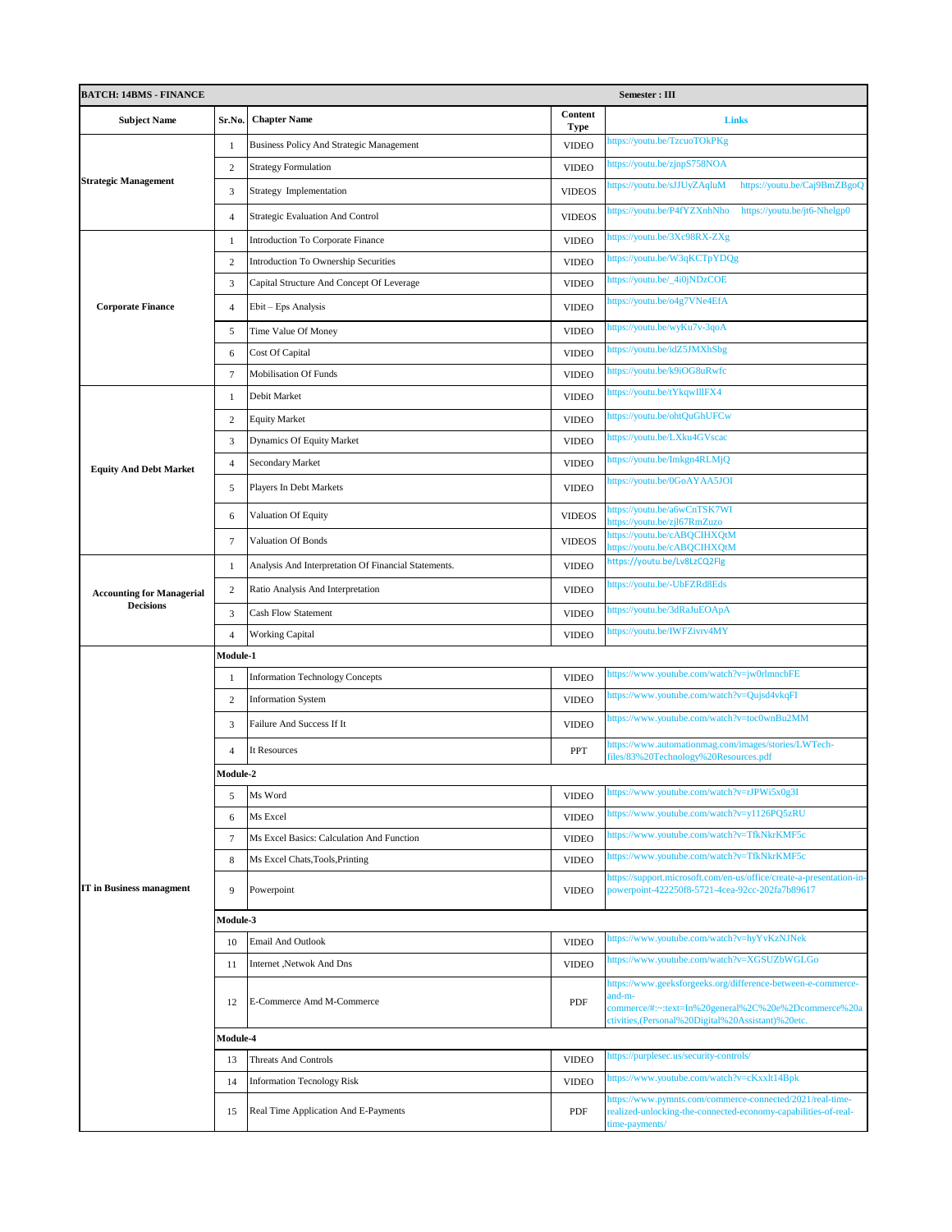| <b>BATCH: 14BMS - FINANCE</b>    |                 |                                                      | Semester: III   |                                                                                                                                                                                      |  |  |
|----------------------------------|-----------------|------------------------------------------------------|-----------------|--------------------------------------------------------------------------------------------------------------------------------------------------------------------------------------|--|--|
| <b>Subject Name</b>              | Sr.No.          | <b>Chapter Name</b>                                  | Content<br>Type | <b>Links</b>                                                                                                                                                                         |  |  |
|                                  | 1               | <b>Business Policy And Strategic Management</b>      | <b>VIDEO</b>    | https://youtu.be/TzcuoTOkPKg                                                                                                                                                         |  |  |
|                                  | $\mathbf{2}$    | <b>Strategy Formulation</b>                          | <b>VIDEO</b>    | https://youtu.be/zjnpS758NOA                                                                                                                                                         |  |  |
| <b>Strategic Management</b>      | 3               | Strategy Implementation                              | <b>VIDEOS</b>   | https://youtu.be/Caj9BmZBgoQ<br>https://youtu.be/sJJUyZAqluM                                                                                                                         |  |  |
|                                  | $\overline{4}$  | <b>Strategic Evaluation And Control</b>              | <b>VIDEOS</b>   | https://youtu.be/jt6-Nhelgp0<br>https://youtu.be/P4fYZXnhNho                                                                                                                         |  |  |
|                                  | $\mathbf{1}$    | Introduction To Corporate Finance                    | <b>VIDEO</b>    | https://youtu.be/3Xc98RX-ZXg                                                                                                                                                         |  |  |
|                                  | $\overline{2}$  | Introduction To Ownership Securities                 | <b>VIDEO</b>    | https://youtu.be/W3qKCTpYDQg                                                                                                                                                         |  |  |
|                                  | 3               | Capital Structure And Concept Of Leverage            | <b>VIDEO</b>    | https://youtu.be/_4i0jNDzCOE                                                                                                                                                         |  |  |
| <b>Corporate Finance</b>         | $\overline{4}$  | Ebit - Eps Analysis                                  | <b>VIDEO</b>    | https://youtu.be/o4g7VNe4EfA                                                                                                                                                         |  |  |
|                                  | 5               | Time Value Of Money                                  | <b>VIDEO</b>    | https://youtu.be/wyKu7v-3qoA                                                                                                                                                         |  |  |
|                                  | 6               | Cost Of Capital                                      | <b>VIDEO</b>    | https://youtu.be/idZ5JMXhSbg                                                                                                                                                         |  |  |
|                                  | 7               | <b>Mobilisation Of Funds</b>                         | <b>VIDEO</b>    | https://youtu.be/k9iOG8uRwfc                                                                                                                                                         |  |  |
|                                  | 1               | Debit Market                                         | <b>VIDEO</b>    | https://youtu.be/tYkqwIllFX4                                                                                                                                                         |  |  |
|                                  | $\mathbf{2}$    | <b>Equity Market</b>                                 | <b>VIDEO</b>    | https://youtu.be/ohtQuGhUFCw                                                                                                                                                         |  |  |
|                                  | $\mathfrak{Z}$  | Dynamics Of Equity Market                            | <b>VIDEO</b>    | https://youtu.be/LXku4GVscac                                                                                                                                                         |  |  |
| <b>Equity And Debt Market</b>    | $\overline{4}$  | Secondary Market                                     | <b>VIDEO</b>    | https://youtu.be/Imkgn4RLMjQ                                                                                                                                                         |  |  |
|                                  | 5               | Players In Debt Markets                              | <b>VIDEO</b>    | https://youtu.be/0GoAYAA5JOI                                                                                                                                                         |  |  |
|                                  | 6               | Valuation Of Equity                                  | <b>VIDEOS</b>   | https://youtu.be/a6wCnTSK7WI<br>nttps://youtu.be/zjl67RmZuzo                                                                                                                         |  |  |
|                                  | 7               | Valuation Of Bonds                                   | <b>VIDEOS</b>   | https://youtu.be/cABQCIHXQtM<br>https://youtu.be/cABQCIHXQtM                                                                                                                         |  |  |
|                                  | $\mathbf{1}$    | Analysis And Interpretation Of Financial Statements. | <b>VIDEO</b>    | https://youtu.be/Lv8LzCQ2Flg                                                                                                                                                         |  |  |
| <b>Accounting for Managerial</b> | $\overline{c}$  | Ratio Analysis And Interpretation                    | <b>VIDEO</b>    | https://youtu.be/-UbFZRd8Eds                                                                                                                                                         |  |  |
| <b>Decisions</b>                 | $\mathfrak{Z}$  | <b>Cash Flow Statement</b>                           | <b>VIDEO</b>    | https://youtu.be/3dRaJuEOApA                                                                                                                                                         |  |  |
|                                  | $\overline{4}$  | <b>Working Capital</b>                               | <b>VIDEO</b>    | https://youtu.be/IWFZivrv4MY                                                                                                                                                         |  |  |
|                                  | <b>Module-1</b> |                                                      |                 |                                                                                                                                                                                      |  |  |
|                                  | $\mathbf{1}$    | <b>Information Technology Concepts</b>               | <b>VIDEO</b>    | https://www.youtube.com/watch?v=jw0rlmncbFE                                                                                                                                          |  |  |
|                                  | $\mathbf{2}$    | <b>Information System</b>                            | <b>VIDEO</b>    | https://www.youtube.com/watch?v=Qujsd4vkqFI                                                                                                                                          |  |  |
|                                  | 3               | Failure And Success If It                            | <b>VIDEO</b>    | https://www.youtube.com/watch?v=toc0wnBu2MM                                                                                                                                          |  |  |
|                                  | $\Delta$        | It Resources                                         | <b>PPT</b>      | https://www.automationmag.com/images/stories/LWTech-<br>files/83%20Technology%20Resources.pdf                                                                                        |  |  |
|                                  | Module-2        |                                                      |                 |                                                                                                                                                                                      |  |  |
|                                  | 5               | Ms Word                                              | <b>VIDEO</b>    | https://www.youtube.com/watch?v=rJPWi5x0g3I                                                                                                                                          |  |  |
|                                  | 6               | Ms Excel                                             | <b>VIDEO</b>    | https://www.youtube.com/watch?v=y1126PQ5zRU                                                                                                                                          |  |  |
|                                  | 7               | Ms Excel Basics: Calculation And Function            | <b>VIDEO</b>    | https://www.youtube.com/watch?v=TfkNkrKMF5c                                                                                                                                          |  |  |
|                                  | 8               | Ms Excel Chats, Tools, Printing                      | <b>VIDEO</b>    | https://www.youtube.com/watch?v=TfkNkrKMF5c                                                                                                                                          |  |  |
| <b>IT</b> in Business managment  | 9               | Powerpoint                                           | <b>VIDEO</b>    | https://support.microsoft.com/en-us/office/create-a-presentation-in-<br>powerpoint-422250f8-5721-4cea-92cc-202fa7b89617                                                              |  |  |
|                                  | Module-3        |                                                      |                 |                                                                                                                                                                                      |  |  |
|                                  | 10              | <b>Email And Outlook</b>                             | <b>VIDEO</b>    | https://www.youtube.com/watch?v=hyYvKzNJNek                                                                                                                                          |  |  |
|                                  | 11              | Internet , Netwok And Dns                            | <b>VIDEO</b>    | https://www.youtube.com/watch?v=XGSUZbWGLGo                                                                                                                                          |  |  |
|                                  | 12              | E-Commerce Amd M-Commerce                            | PDF             | https://www.geeksforgeeks.org/difference-between-e-commerce-<br>and-m-<br>commerce/#:~:text=In%20general%2C%20e%2Dcommerce%20a<br>ctivities, (Personal%20Digital%20Assistant)%20etc. |  |  |
|                                  | <b>Module-4</b> |                                                      |                 |                                                                                                                                                                                      |  |  |
|                                  | 13              | <b>Threats And Controls</b>                          | <b>VIDEO</b>    | https://purplesec.us/security-controls/                                                                                                                                              |  |  |
|                                  | 14              | <b>Information Tecnology Risk</b>                    | <b>VIDEO</b>    | https://www.youtube.com/watch?v=cKxxlt14Bpk                                                                                                                                          |  |  |
|                                  | 15              | Real Time Application And E-Payments                 | PDF             | https://www.pymnts.com/commerce-connected/2021/real-time-<br>realized-unlocking-the-connected-economy-capabilities-of-real-<br>time-payments/                                        |  |  |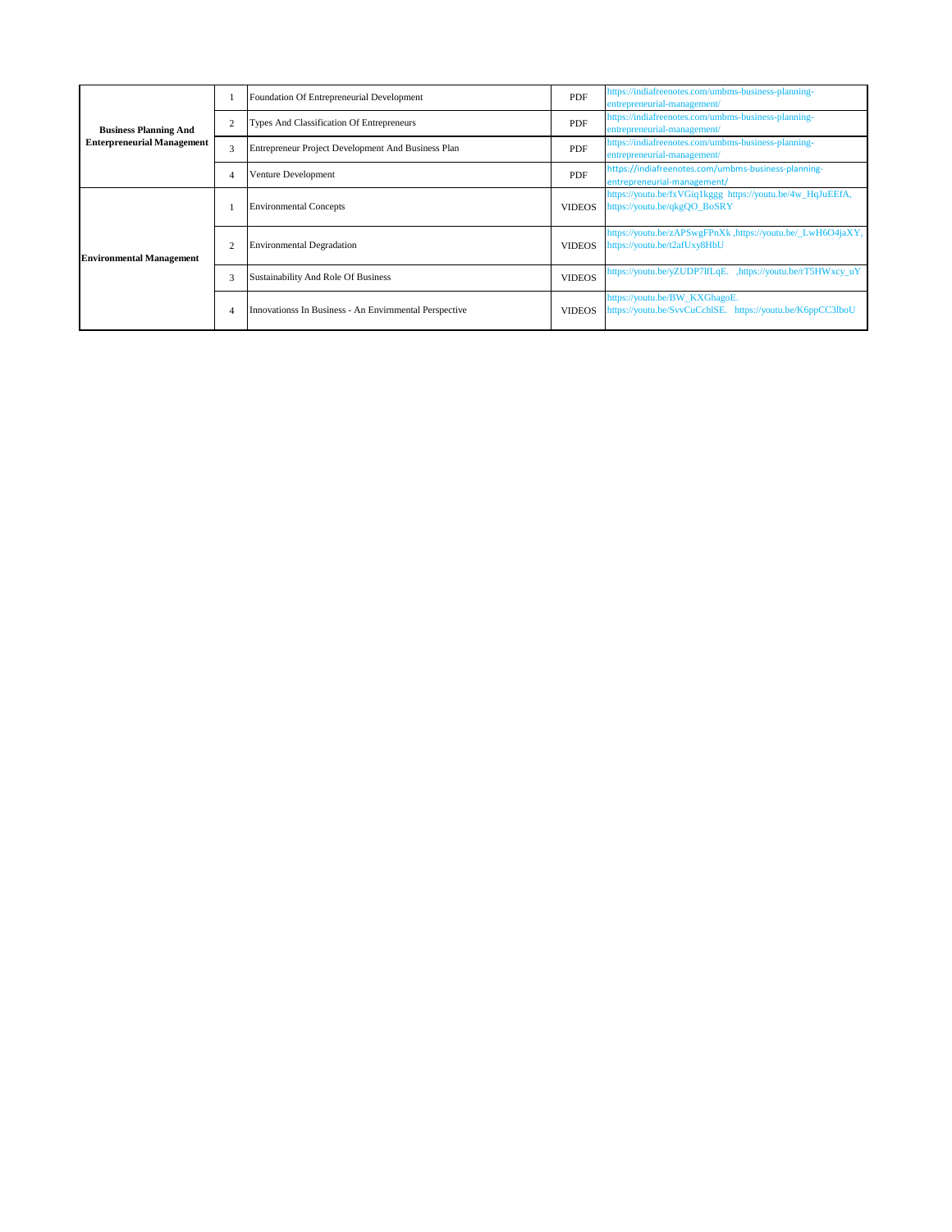| <b>Business Planning And</b><br><b>Enterpreneurial Management</b> |   | Foundation Of Entrepreneurial Development              | PDF           | https://indiafreenotes.com/umbms-business-planning-<br>entrepreneurial-management/          |
|-------------------------------------------------------------------|---|--------------------------------------------------------|---------------|---------------------------------------------------------------------------------------------|
|                                                                   |   | Types And Classification Of Entrepreneurs              | PDF           | https://indiafreenotes.com/umbms-business-planning-<br>entrepreneurial-management/          |
|                                                                   | 3 | Entrepreneur Project Development And Business Plan     | <b>PDF</b>    | https://indiafreenotes.com/umbms-business-planning-<br>entrepreneurial-management/          |
|                                                                   |   | Venture Development                                    | PDF           | https://indiafreenotes.com/umbms-business-planning-<br>entrepreneurial-management/          |
| <b>Environmental Management</b>                                   |   | <b>Environmental Concepts</b>                          | <b>VIDEOS</b> | https://youtu.be/fxVGiq1kggg_https://youtu.be/4w_HqJuEEfA,<br>https://youtu.be/qkgQO_BoSRY  |
|                                                                   |   | <b>Environmental Degradation</b>                       | <b>VIDEOS</b> | https://youtu.be/zAPSwgFPnXk ,https://youtu.be/_LwH6O4jaXY,<br>https://youtu.be/t2afUxy8HbU |
|                                                                   | 3 | Sustainability And Role Of Business                    | <b>VIDEOS</b> | https://youtu.be/yZUDP7lfLqE. ,https://youtu.be/rT5HWxcy_uY                                 |
|                                                                   |   | Innovationss In Business - An Envirnmental Perspective | <b>VIDEOS</b> | https://youtu.be/BW_KXGhagoE.<br>https://youtu.be/SvvCuCchlSE. https://youtu.be/K6ppCC3lboU |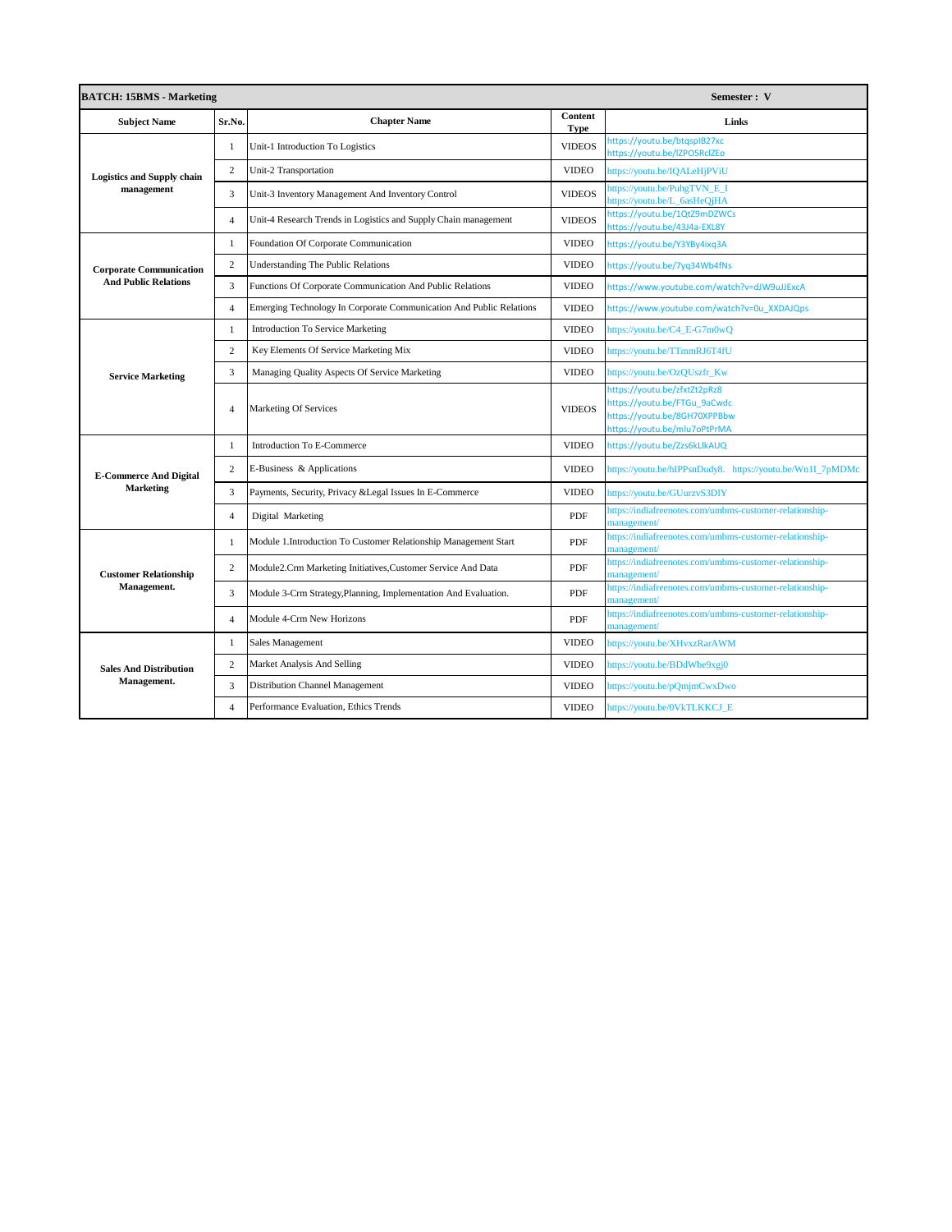| <b>BATCH: 15BMS - Marketing</b><br>Semester: V |                |                                                                     |                        |                                                                                                                              |  |
|------------------------------------------------|----------------|---------------------------------------------------------------------|------------------------|------------------------------------------------------------------------------------------------------------------------------|--|
| <b>Subject Name</b>                            | Sr.No.         | <b>Chapter Name</b>                                                 | Content<br><b>Type</b> | Links                                                                                                                        |  |
|                                                | $\overline{1}$ | Unit-1 Introduction To Logistics                                    | <b>VIDEOS</b>          | https://youtu.be/btqspIB27xc<br>https://youtu.be/IZPO5RcIZEo                                                                 |  |
| <b>Logistics and Supply chain</b>              | $\overline{c}$ | <b>Unit-2 Transportation</b>                                        | <b>VIDEO</b>           | https://youtu.be/IQALeHjPViU                                                                                                 |  |
| management                                     | 3              | Unit-3 Inventory Management And Inventory Control                   | <b>VIDEOS</b>          | https://youtu.be/PuhgTVN E I<br>ttps://youtu.be/L_6asHeQjHA                                                                  |  |
|                                                | $\overline{4}$ | Unit-4 Research Trends in Logistics and Supply Chain management     | <b>VIDEOS</b>          | https://youtu.be/1QtZ9mDZWCs<br>https://youtu.be/43J4a-EXL8Y                                                                 |  |
|                                                | 1              | Foundation Of Corporate Communication                               | <b>VIDEO</b>           | https://youtu.be/Y3YBy4ixq3A                                                                                                 |  |
| <b>Corporate Communication</b>                 | $\overline{2}$ | Understanding The Public Relations                                  | <b>VIDEO</b>           | nttps://youtu.be/7yq34Wb4fNs                                                                                                 |  |
| <b>And Public Relations</b>                    | 3              | Functions Of Corporate Communication And Public Relations           | <b>VIDEO</b>           | https://www.youtube.com/watch?v=dJW9uJJExcA                                                                                  |  |
|                                                | $\overline{A}$ | Emerging Technology In Corporate Communication And Public Relations | <b>VIDEO</b>           | https://www.youtube.com/watch?v=0u XXDAJQps                                                                                  |  |
|                                                | $\mathbf{1}$   | <b>Introduction To Service Marketing</b>                            | <b>VIDEO</b>           | nttps://youtu.be/C4_E-G7m0wQ                                                                                                 |  |
|                                                | $\overline{2}$ | Key Elements Of Service Marketing Mix                               | <b>VIDEO</b>           | https://youtu.be/TTmmRJ6T4fU                                                                                                 |  |
| <b>Service Marketing</b>                       | 3              | Managing Quality Aspects Of Service Marketing                       | <b>VIDEO</b>           | https://youtu.be/OzQUszfr_Kw                                                                                                 |  |
|                                                | $\overline{4}$ | Marketing Of Services                                               | <b>VIDEOS</b>          | https://youtu.be/zfxtZt2pRz8<br>nttps://youtu.be/FTGu 9aCwdc<br>https://youtu.be/8GH70XPPBbw<br>https://youtu.be/mlu7oPtPrMA |  |
|                                                | 1              | Introduction To E-Commerce                                          | <b>VIDEO</b>           | https://youtu.be/Zzs6kLlkAUQ                                                                                                 |  |
| <b>E-Commerce And Digital</b>                  | $\overline{2}$ | E-Business & Applications                                           | <b>VIDEO</b>           | https://youtu.be/hIPPsnDudy8. https://youtu.be/Wn1I_7pMDMc                                                                   |  |
| <b>Marketing</b>                               | 3              | Payments, Security, Privacy & Legal Issues In E-Commerce            | <b>VIDEO</b>           | https://youtu.be/GUurzvS3DIY                                                                                                 |  |
|                                                | $\overline{4}$ | Digital Marketing                                                   | PDF                    | nttps://indiafreenotes.com/umbms-customer-relationship-<br>nanagement/                                                       |  |
|                                                | $\mathbf{1}$   | Module 1.Introduction To Customer Relationship Management Start     | PDF                    | https://indiafreenotes.com/umbms-customer-relationship-<br>management/                                                       |  |
| <b>Customer Relationship</b>                   | $\overline{2}$ | Module2.Crm Marketing Initiatives,Customer Service And Data         | PDF                    | https://indiafreenotes.com/umbms-customer-relationship-<br>nanagement/                                                       |  |
| Management.                                    | 3              | Module 3-Crm Strategy, Planning, Implementation And Evaluation.     | PDF                    | https://indiafreenotes.com/umbms-customer-relationship-<br>nanagement/                                                       |  |
|                                                | $\overline{4}$ | Module 4-Crm New Horizons                                           | PDF                    | https://indiafreenotes.com/umbms-customer-relationship-<br>nanagement/                                                       |  |
|                                                | $\mathbf{1}$   | Sales Management                                                    | <b>VIDEO</b>           | https://youtu.be/XHvxzRarAWM                                                                                                 |  |
| <b>Sales And Distribution</b>                  | $\overline{2}$ | Market Analysis And Selling                                         | <b>VIDEO</b>           | https://youtu.be/BDdWbe9xgj0                                                                                                 |  |
| Management.                                    | 3              | Distribution Channel Management                                     | <b>VIDEO</b>           | nttps://youtu.be/pQmjmCwxDwo                                                                                                 |  |
|                                                | $\overline{4}$ | Performance Evaluation, Ethics Trends                               | <b>VIDEO</b>           | https://youtu.be/0VkTLKKCJ_E                                                                                                 |  |